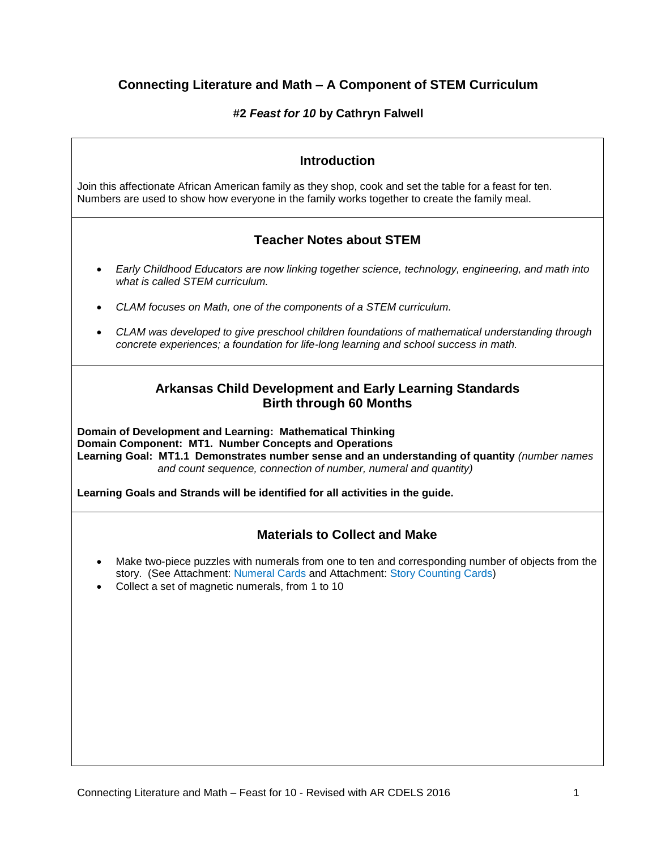# **Connecting Literature and Math – A Component of STEM Curriculum**

## **#2** *Feast for 10* **by Cathryn Falwell**

## **Introduction**

Join this affectionate African American family as they shop, cook and set the table for a feast for ten. Numbers are used to show how everyone in the family works together to create the family meal.

## **Teacher Notes about STEM**

- *Early Childhood Educators are now linking together science, technology, engineering, and math into what is called STEM curriculum.*
- *CLAM focuses on Math, one of the components of a STEM curriculum.*
- *CLAM was developed to give preschool children foundations of mathematical understanding through concrete experiences; a foundation for life-long learning and school success in math.*

## **Arkansas Child Development and Early Learning Standards Birth through 60 Months**

**Domain of Development and Learning: Mathematical Thinking Domain Component: MT1. Number Concepts and Operations Learning Goal: MT1.1 Demonstrates number sense and an understanding of quantity** *(number names and count sequence, connection of number, numeral and quantity)*

**Learning Goals and Strands will be identified for all activities in the guide.**

## **Materials to Collect and Make**

- Make two-piece puzzles with numerals from one to ten and corresponding number of objects from the story. (See Attachment: Numeral Cards and Attachment: Story Counting Cards)
- Collect a set of magnetic numerals, from 1 to 10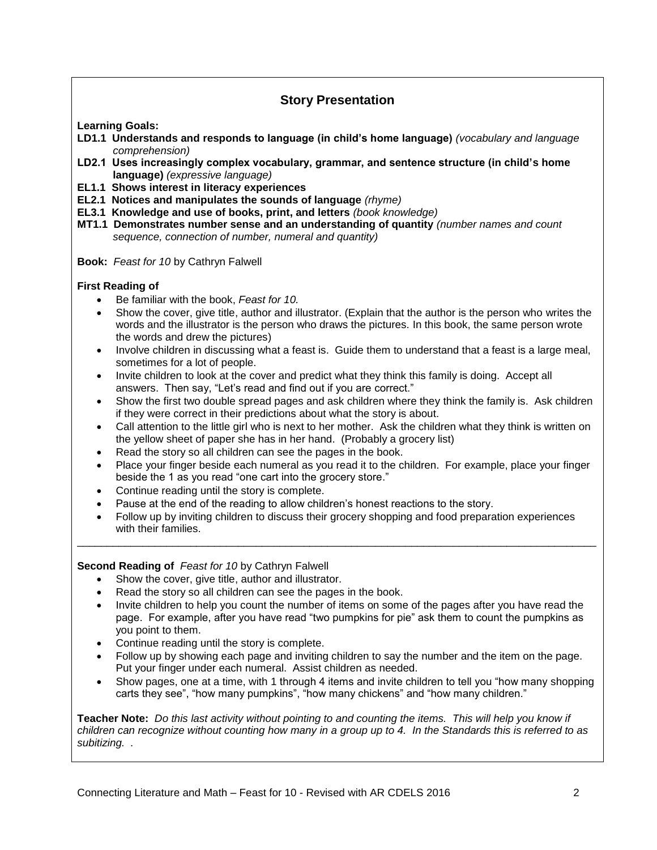# **Story Presentation**

**Learning Goals:** 

- **LD1.1 Understands and responds to language (in child's home language)** *(vocabulary and language comprehension)*
- **LD2.1 Uses increasingly complex vocabulary, grammar, and sentence structure (in child's home language)** *(expressive language)*
- **EL1.1 Shows interest in literacy experiences**
- **EL2.1 Notices and manipulates the sounds of language** *(rhyme)*
- **EL3.1 Knowledge and use of books, print, and letters** *(book knowledge)*
- **MT1.1 Demonstrates number sense and an understanding of quantity** *(number names and count sequence, connection of number, numeral and quantity)*
- **Book:** *Feast for 10* by Cathryn Falwell

### **First Reading of**

- Be familiar with the book, *Feast for 10.*
- Show the cover, give title, author and illustrator. (Explain that the author is the person who writes the words and the illustrator is the person who draws the pictures. In this book, the same person wrote the words and drew the pictures)
- Involve children in discussing what a feast is. Guide them to understand that a feast is a large meal, sometimes for a lot of people.
- Invite children to look at the cover and predict what they think this family is doing. Accept all answers. Then say, "Let's read and find out if you are correct."
- Show the first two double spread pages and ask children where they think the family is. Ask children if they were correct in their predictions about what the story is about.
- Call attention to the little girl who is next to her mother. Ask the children what they think is written on the yellow sheet of paper she has in her hand. (Probably a grocery list)
- Read the story so all children can see the pages in the book.
- Place your finger beside each numeral as you read it to the children. For example, place your finger beside the 1 as you read "one cart into the grocery store."
- Continue reading until the story is complete.
- Pause at the end of the reading to allow children's honest reactions to the story.
- Follow up by inviting children to discuss their grocery shopping and food preparation experiences with their families. \_\_\_\_\_\_\_\_\_\_\_\_\_\_\_\_\_\_\_\_\_\_\_\_\_\_\_\_\_\_\_\_\_\_\_\_\_\_\_\_\_\_\_\_\_\_\_\_\_\_\_\_\_\_\_\_\_\_\_\_\_\_\_\_\_\_\_\_\_\_\_\_\_\_\_\_\_\_\_\_\_\_\_\_\_\_\_

### **Second Reading of** *Feast for 10* by Cathryn Falwell

- Show the cover, give title, author and illustrator.
- Read the story so all children can see the pages in the book.
- Invite children to help you count the number of items on some of the pages after you have read the page. For example, after you have read "two pumpkins for pie" ask them to count the pumpkins as you point to them.
- Continue reading until the story is complete.
- Follow up by showing each page and inviting children to say the number and the item on the page. Put your finger under each numeral. Assist children as needed.
- Show pages, one at a time, with 1 through 4 items and invite children to tell you "how many shopping carts they see", "how many pumpkins", "how many chickens" and "how many children."

**Teacher Note:** *Do this last activity without pointing to and counting the items. This will help you know if children can recognize without counting how many in a group up to 4. In the Standards this is referred to as subitizing. .*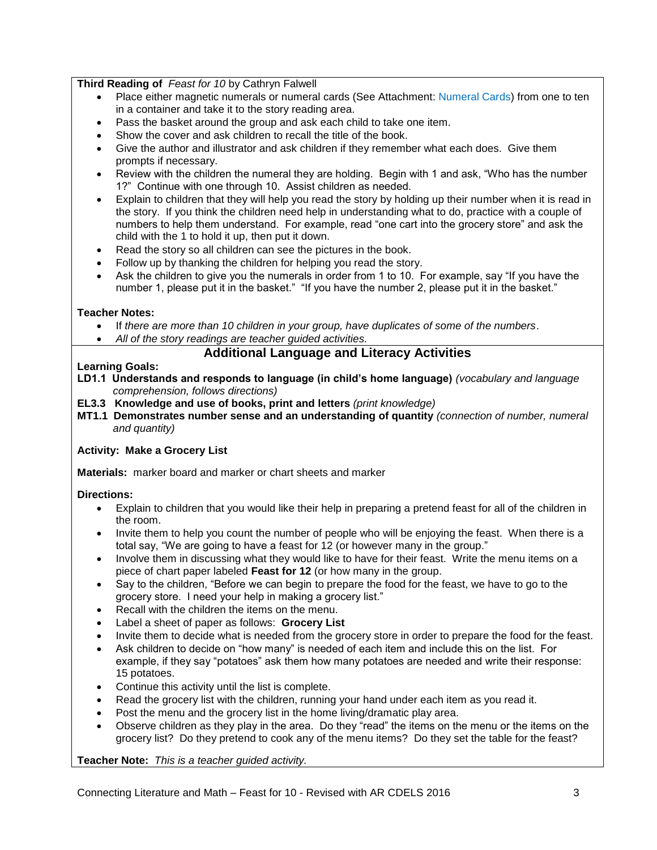### **Third Reading of** *Feast for 10* by Cathryn Falwell

- Place either magnetic numerals or numeral cards (See Attachment: Numeral Cards) from one to ten in a container and take it to the story reading area.
- Pass the basket around the group and ask each child to take one item.
- Show the cover and ask children to recall the title of the book.
- Give the author and illustrator and ask children if they remember what each does. Give them prompts if necessary.
- Review with the children the numeral they are holding. Begin with 1 and ask, "Who has the number 1?" Continue with one through 10. Assist children as needed.
- Explain to children that they will help you read the story by holding up their number when it is read in the story. If you think the children need help in understanding what to do, practice with a couple of numbers to help them understand. For example, read "one cart into the grocery store" and ask the child with the 1 to hold it up, then put it down.
- Read the story so all children can see the pictures in the book.
- Follow up by thanking the children for helping you read the story.
- Ask the children to give you the numerals in order from 1 to 10. For example, say "If you have the number 1, please put it in the basket." "If you have the number 2, please put it in the basket."

#### **Teacher Notes:**

- If *there are more than 10 children in your group, have duplicates of some of the numbers*.
- *All of the story readings are teacher guided activities.*

## **Additional Language and Literacy Activities**

#### **Learning Goals:**

- **LD1.1 Understands and responds to language (in child's home language)** *(vocabulary and language comprehension, follows directions)*
- **EL3.3 Knowledge and use of books, print and letters** *(print knowledge)*
- **MT1.1 Demonstrates number sense and an understanding of quantity** *(connection of number, numeral and quantity)*

### **Activity: Make a Grocery List**

**Materials:** marker board and marker or chart sheets and marker

### **Directions:**

- Explain to children that you would like their help in preparing a pretend feast for all of the children in the room.
- Invite them to help you count the number of people who will be enjoying the feast. When there is a total say, "We are going to have a feast for 12 (or however many in the group."
- Involve them in discussing what they would like to have for their feast. Write the menu items on a piece of chart paper labeled **Feast for 12** (or how many in the group.
- Say to the children, "Before we can begin to prepare the food for the feast, we have to go to the grocery store. I need your help in making a grocery list."
- Recall with the children the items on the menu.
- Label a sheet of paper as follows: **Grocery List**
- Invite them to decide what is needed from the grocery store in order to prepare the food for the feast.
- Ask children to decide on "how many" is needed of each item and include this on the list. For example, if they say "potatoes" ask them how many potatoes are needed and write their response: 15 potatoes.
- Continue this activity until the list is complete.
- Read the grocery list with the children, running your hand under each item as you read it.
- Post the menu and the grocery list in the home living/dramatic play area.
- Observe children as they play in the area. Do they "read" the items on the menu or the items on the grocery list? Do they pretend to cook any of the menu items?Do they set the table for the feast?

#### **Teacher Note:** *This is a teacher guided activity.*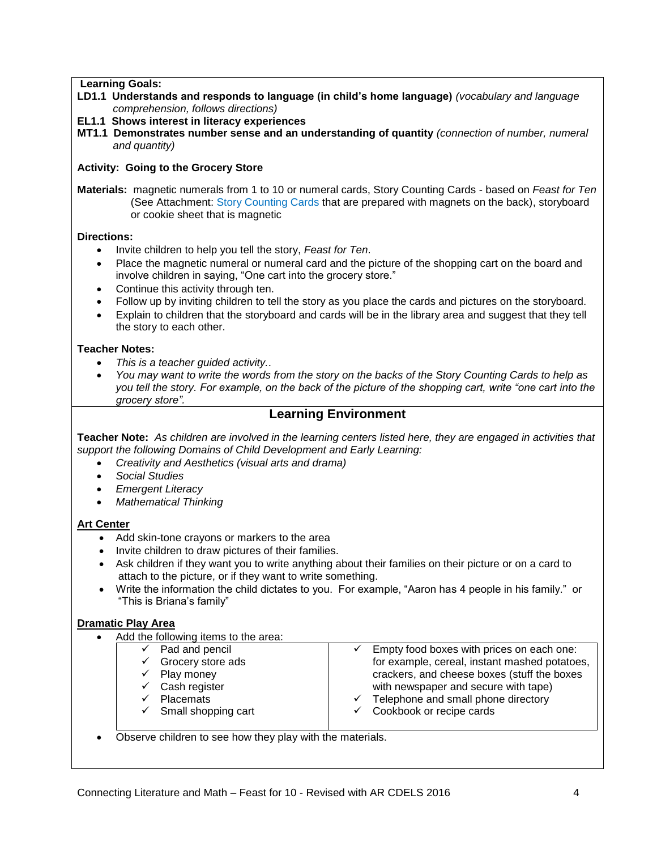#### **Learning Goals:**

- **LD1.1 Understands and responds to language (in child's home language)** *(vocabulary and language comprehension, follows directions)*
- **EL1.1 Shows interest in literacy experiences**
- **MT1.1 Demonstrates number sense and an understanding of quantity** *(connection of number, numeral and quantity)*

#### **Activity: Going to the Grocery Store**

**Materials:** magnetic numerals from 1 to 10 or numeral cards, Story Counting Cards - based on *Feast for Ten* (See Attachment: Story Counting Cards that are prepared with magnets on the back), storyboard or cookie sheet that is magnetic

#### **Directions:**

- Invite children to help you tell the story, *Feast for Ten*.
- Place the magnetic numeral or numeral card and the picture of the shopping cart on the board and involve children in saying, "One cart into the grocery store."
- Continue this activity through ten.
- Follow up by inviting children to tell the story as you place the cards and pictures on the storyboard.
- Explain to children that the storyboard and cards will be in the library area and suggest that they tell the story to each other.

#### **Teacher Notes:**

- *This is a teacher guided activity.*.
- *You may want to write the words from the story on the backs of the Story Counting Cards to help as you tell the story. For example, on the back of the picture of the shopping cart, write "one cart into the grocery store".*

### **Learning Environment**

**Teacher Note:** *As children are involved in the learning centers listed here, they are engaged in activities that support the following Domains of Child Development and Early Learning:*

- *Creativity and Aesthetics (visual arts and drama)*
- *Social Studies*
- *Emergent Literacy*
- *Mathematical Thinking*

### **Art Center**

- Add skin-tone crayons or markers to the area
- Invite children to draw pictures of their families.
- Ask children if they want you to write anything about their families on their picture or on a card to attach to the picture, or if they want to write something.
- Write the information the child dictates to you. For example, "Aaron has 4 people in his family." or "This is Briana's family"

#### **Dramatic Play Area**

- Add the following items to the area:
	- $\checkmark$  Pad and pencil
	- $\checkmark$  Grocery store ads
	- $\checkmark$  Play money
	- $\checkmark$  Cash register
	- $\checkmark$  Placemats
	- $\checkmark$  Small shopping cart
- Empty food boxes with prices on each one: for example, cereal, instant mashed potatoes, crackers, and cheese boxes (stuff the boxes with newspaper and secure with tape)  $\checkmark$  Telephone and small phone directory
- Cookbook or recipe cards
- Observe children to see how they play with the materials.